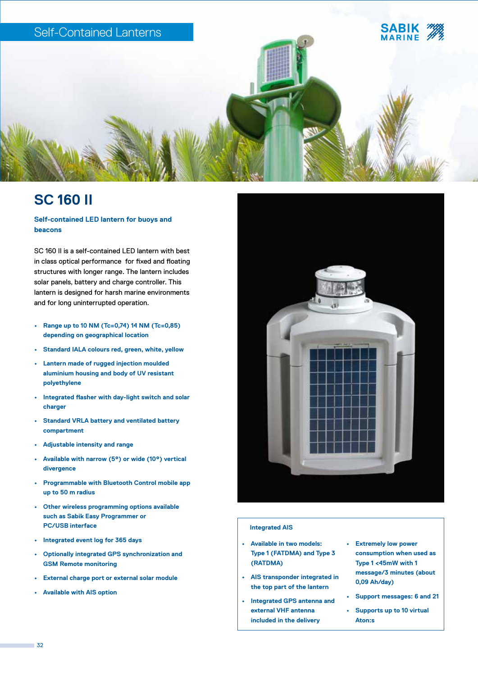

# **SC 160 II**

**Self-contained LED lantern for buoys and beacons**

SC 160 II is a self-contained LED lantern with best in class optical performance for fixed and floating structures with longer range. The lantern includes solar panels, battery and charge controller. This lantern is designed for harsh marine environments and for long uninterrupted operation.

- **• Range up to 10 NM (Tc=0,74) 14 NM (Tc=0,85) depending on geographical location**
- **• Standard IALA colours red, green, white, yellow**
- **• Lantern made of rugged injection moulded aluminium housing and body of UV resistant polyethylene**
- **• Integrated flasher with day-light switch and solar charger**
- **• Standard VRLA battery and ventilated battery compartment**
- **• Adjustable intensity and range**
- **• Available with narrow (5°) or wide (10°) vertical divergence**
- **• Programmable with Bluetooth Control mobile app up to 50 m radius**
- **• Other wireless programming options available such as Sabik Easy Programmer or PC/USB interface**
- **• Integrated event log for 365 days**
- **• Optionally integrated GPS synchronization and GSM Remote monitoring**
- **• External charge port or external solar module**
- **• Available with AIS option**



### **Integrated AIS**

- **• Available in two models: Type 1 (FATDMA) and Type 3 (RATDMA)**
- **• AIS transponder integrated in the top part of the lantern**
- **• Integrated GPS antenna and external VHF antenna included in the delivery**
- **• Extremely low power consumption when used as Type 1 <45mW with 1 message/3 minutes (about 0,09 Ah/day)**
- **• Support messages: 6 and 21**
- **• Supports up to 10 virtual Aton:s**